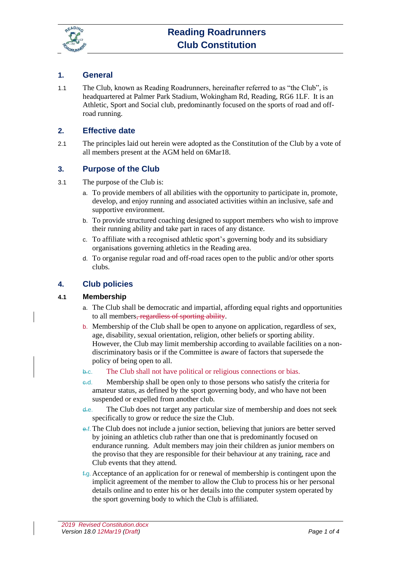

### **1. General**

1.1 The Club, known as Reading Roadrunners, hereinafter referred to as "the Club", is headquartered at Palmer Park Stadium, Wokingham Rd, Reading, RG6 1LF. It is an Athletic, Sport and Social club, predominantly focused on the sports of road and offroad running.

#### **2. Effective date**

2.1 The principles laid out herein were adopted as the Constitution of the Club by a vote of all members present at the AGM held on 6Mar18.

### **3. Purpose of the Club**

- 3.1 The purpose of the Club is:
	- a. To provide members of all abilities with the opportunity to participate in, promote, develop, and enjoy running and associated activities within an inclusive, safe and supportive environment.
	- b. To provide structured coaching designed to support members who wish to improve their running ability and take part in races of any distance.
	- c. To affiliate with a recognised athletic sport's governing body and its subsidiary organisations governing athletics in the Reading area.
	- d. To organise regular road and off-road races open to the public and/or other sports clubs.

# **4. Club policies**

#### **4.1 Membership**

- a. The Club shall be democratic and impartial, affording equal rights and opportunities to all members, regardless of sporting ability.
- b. Membership of the Club shall be open to anyone on application, regardless of sex, age, disability, sexual orientation, religion, other beliefs or sporting ability. However, the Club may limit membership according to available facilities on a nondiscriminatory basis or if the Committee is aware of factors that supersede the policy of being open to all.

#### b.c. The Club shall not have political or religious connections or bias.

- c.d. Membership shall be open only to those persons who satisfy the criteria for amateur status, as defined by the sport governing body, and who have not been suspended or expelled from another club.
- d.e. The Club does not target any particular size of membership and does not seek specifically to grow or reduce the size the Club.
- e.f.The Club does not include a junior section, believing that juniors are better served by joining an athletics club rather than one that is predominantly focused on endurance running. Adult members may join their children as junior members on the proviso that they are responsible for their behaviour at any training, race and Club events that they attend.
- $f_{\text{g}}$ . Acceptance of an application for or renewal of membership is contingent upon the implicit agreement of the member to allow the Club to process his or her personal details online and to enter his or her details into the computer system operated by the sport governing body to which the Club is affiliated.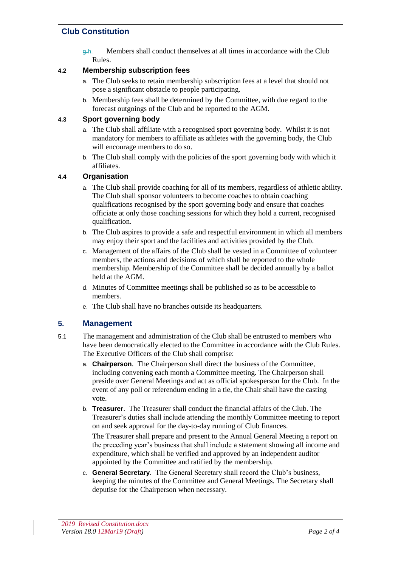# **Club Constitution**

g.h. Members shall conduct themselves at all times in accordance with the Club Rules.

### **4.2 Membership subscription fees**

- a. The Club seeks to retain membership subscription fees at a level that should not pose a significant obstacle to people participating.
- b. Membership fees shall be determined by the Committee, with due regard to the forecast outgoings of the Club and be reported to the AGM.

### **4.3 Sport governing body**

- a. The Club shall affiliate with a recognised sport governing body. Whilst it is not mandatory for members to affiliate as athletes with the governing body, the Club will encourage members to do so.
- b. The Club shall comply with the policies of the sport governing body with which it affiliates.

### **4.4 Organisation**

- a. The Club shall provide coaching for all of its members, regardless of athletic ability. The Club shall sponsor volunteers to become coaches to obtain coaching qualifications recognised by the sport governing body and ensure that coaches officiate at only those coaching sessions for which they hold a current, recognised qualification.
- b. The Club aspires to provide a safe and respectful environment in which all members may enjoy their sport and the facilities and activities provided by the Club.
- c. Management of the affairs of the Club shall be vested in a Committee of volunteer members, the actions and decisions of which shall be reported to the whole membership. Membership of the Committee shall be decided annually by a ballot held at the AGM.
- d. Minutes of Committee meetings shall be published so as to be accessible to members.
- e. The Club shall have no branches outside its headquarters.

### **5. Management**

- 5.1 The management and administration of the Club shall be entrusted to members who have been democratically elected to the Committee in accordance with the Club Rules. The Executive Officers of the Club shall comprise:
	- a. **Chairperson**. The Chairperson shall direct the business of the Committee, including convening each month a Committee meeting. The Chairperson shall preside over General Meetings and act as official spokesperson for the Club. In the event of any poll or referendum ending in a tie, the Chair shall have the casting vote.
	- b. **Treasurer**. The Treasurer shall conduct the financial affairs of the Club. The Treasurer's duties shall include attending the monthly Committee meeting to report on and seek approval for the day-to-day running of Club finances.

The Treasurer shall prepare and present to the Annual General Meeting a report on the preceding year's business that shall include a statement showing all income and expenditure, which shall be verified and approved by an independent auditor appointed by the Committee and ratified by the membership.

c. **General Secretary**. The General Secretary shall record the Club's business, keeping the minutes of the Committee and General Meetings. The Secretary shall deputise for the Chairperson when necessary.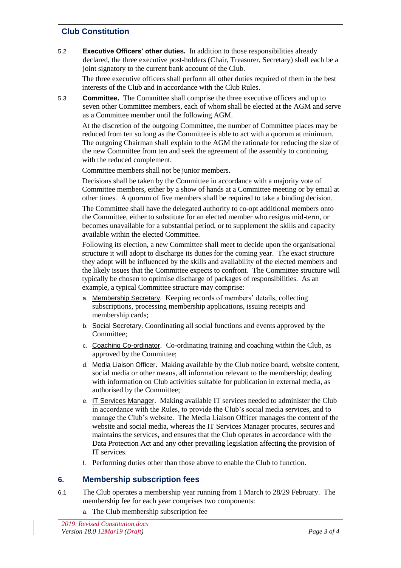# **Club Constitution**

5.2 **Executive Officers' other duties.** In addition to those responsibilities already declared, the three executive post-holders (Chair, Treasurer, Secretary) shall each be a joint signatory to the current bank account of the Club.

The three executive officers shall perform all other duties required of them in the best interests of the Club and in accordance with the Club Rules.

5.3 **Committee.** The Committee shall comprise the three executive officers and up to seven other Committee members, each of whom shall be elected at the AGM and serve as a Committee member until the following AGM.

At the discretion of the outgoing Committee, the number of Committee places may be reduced from ten so long as the Committee is able to act with a quorum at minimum. The outgoing Chairman shall explain to the AGM the rationale for reducing the size of the new Committee from ten and seek the agreement of the assembly to continuing with the reduced complement.

Committee members shall not be junior members.

Decisions shall be taken by the Committee in accordance with a majority vote of Committee members, either by a show of hands at a Committee meeting or by email at other times. A quorum of five members shall be required to take a binding decision.

The Committee shall have the delegated authority to co-opt additional members onto the Committee, either to substitute for an elected member who resigns mid-term, or becomes unavailable for a substantial period, or to supplement the skills and capacity available within the elected Committee.

Following its election, a new Committee shall meet to decide upon the organisational structure it will adopt to discharge its duties for the coming year. The exact structure they adopt will be influenced by the skills and availability of the elected members and the likely issues that the Committee expects to confront. The Committee structure will typically be chosen to optimise discharge of packages of responsibilities. As an example, a typical Committee structure may comprise:

- a. Membership Secretary. Keeping records of members' details, collecting subscriptions, processing membership applications, issuing receipts and membership cards;
- b. Social Secretary. Coordinating all social functions and events approved by the Committee;
- c. Coaching Co-ordinator. Co-ordinating training and coaching within the Club, as approved by the Committee;
- d. Media Liaison Officer. Making available by the Club notice board, website content, social media or other means, all information relevant to the membership; dealing with information on Club activities suitable for publication in external media, as authorised by the Committee;
- e. IT Services Manager. Making available IT services needed to administer the Club in accordance with the Rules, to provide the Club's social media services, and to manage the Club's website. The Media Liaison Officer manages the content of the website and social media, whereas the IT Services Manager procures, secures and maintains the services, and ensures that the Club operates in accordance with the Data Protection Act and any other prevailing legislation affecting the provision of IT services.
- f. Performing duties other than those above to enable the Club to function.

### **6. Membership subscription fees**

- 6.1 The Club operates a membership year running from 1 March to 28/29 February. The membership fee for each year comprises two components:
	- a. The Club membership subscription fee